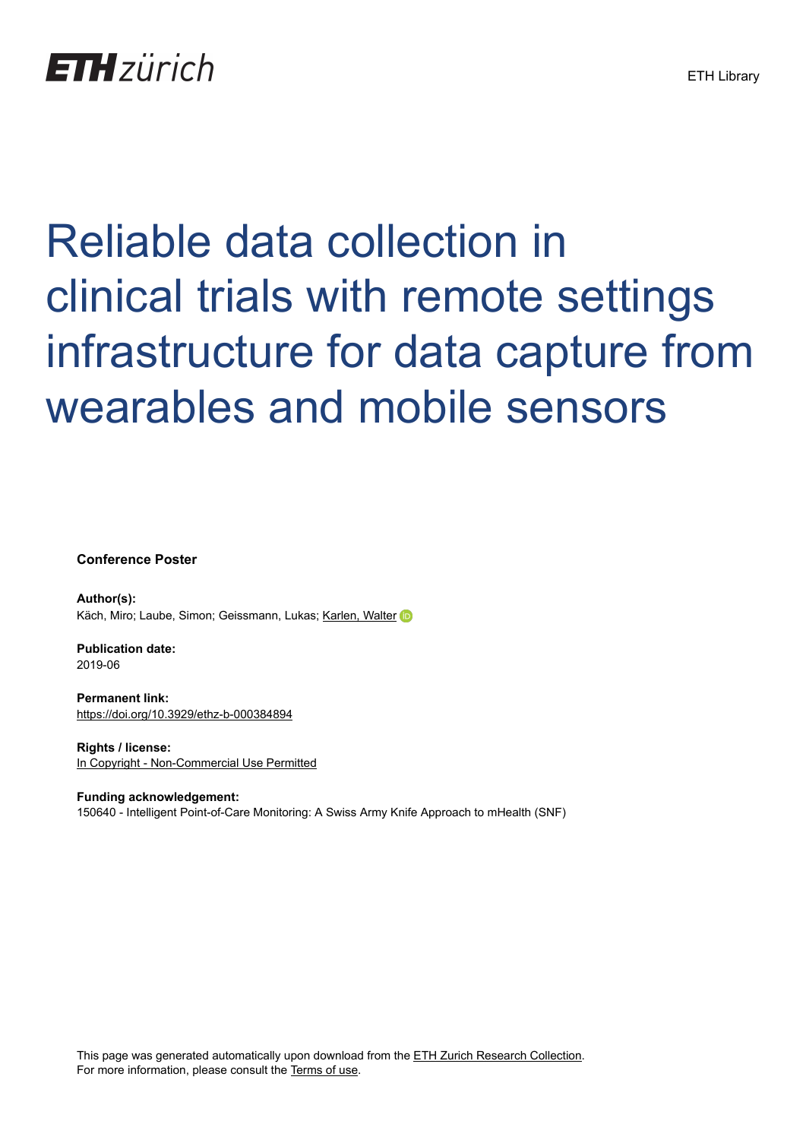

#### Reliable data collection in clinical trials with remote settings infrastructure for data capture from wearables and mobile sensors

**Conference Poster**

**Author(s):** Käch, Miro; Laube, Simon; Geissmann, Lukas; [Karlen, Walter](https://orcid.org/0000-0001-8643-3074)

**Publication date:** 2019-06

**Permanent link:** <https://doi.org/10.3929/ethz-b-000384894>

**Rights / license:** [In Copyright - Non-Commercial Use Permitted](http://rightsstatements.org/page/InC-NC/1.0/)

**Funding acknowledgement:** 150640 - Intelligent Point-of-Care Monitoring: A Swiss Army Knife Approach to mHealth (SNF)